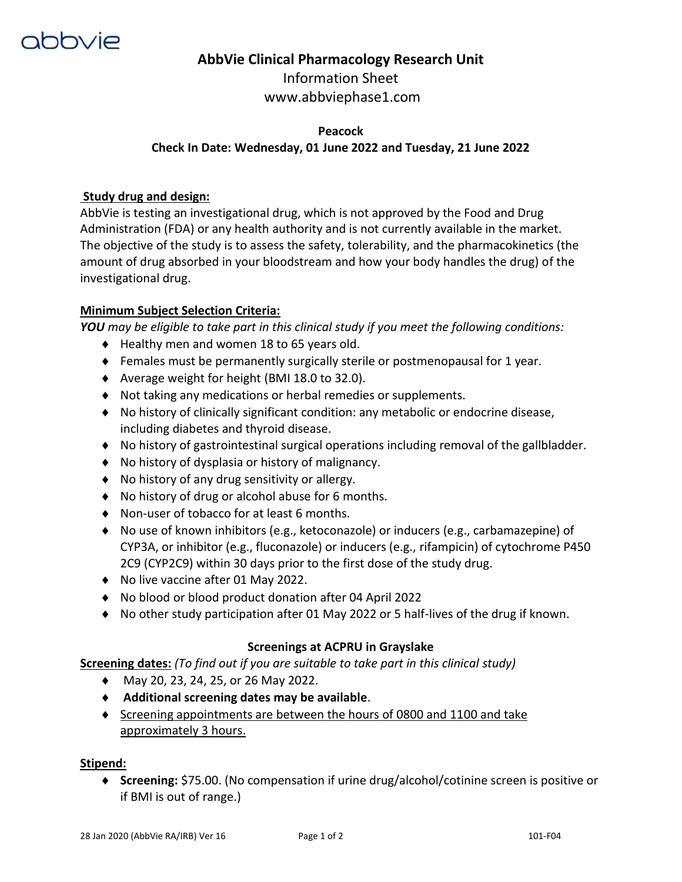

# **AbbVie Clinical Pharmacology Research Unit**

Information Sheet www.abbviephase1.com

## **Peacock Check In Date: Wednesday, 01 June 2022 and Tuesday, 21 June 2022**

### **Study drug and design:**

AbbVie is testing an investigational drug, which is not approved by the Food and Drug Administration (FDA) or any health authority and is not currently available in the market. The objective of the study is to assess the safety, tolerability, and the pharmacokinetics (the amount of drug absorbed in your bloodstream and how your body handles the drug) of the investigational drug.

#### **Minimum Subject Selection Criteria:**

*YOU may be eligible to take part in this clinical study if you meet the following conditions:* 

- ◆ Healthy men and women 18 to 65 years old.
- Females must be permanently surgically sterile or postmenopausal for 1 year.
- ◆ Average weight for height (BMI 18.0 to 32.0).
- Not taking any medications or herbal remedies or supplements.
- No history of clinically significant condition: any metabolic or endocrine disease, including diabetes and thyroid disease.
- No history of gastrointestinal surgical operations including removal of the gallbladder.
- No history of dysplasia or history of malignancy.
- ◆ No history of any drug sensitivity or allergy.
- ◆ No history of drug or alcohol abuse for 6 months.
- ◆ Non-user of tobacco for at least 6 months.
- No use of known inhibitors (e.g., ketoconazole) or inducers (e.g., carbamazepine) of CYP3A, or inhibitor (e.g., fluconazole) or inducers (e.g., rifampicin) of cytochrome P450 2C9 (CYP2C9) within 30 days prior to the first dose of the study drug.
- ◆ No live vaccine after 01 May 2022.
- No blood or blood product donation after 04 April 2022
- No other study participation after 01 May 2022 or 5 half-lives of the drug if known.

#### **Screenings at ACPRU in Grayslake**

**Screening dates:** *(To find out if you are suitable to take part in this clinical study)*

- ◆ May 20, 23, 24, 25, or 26 May 2022.
- **Additional screening dates may be available**.
- $\bullet$  Screening appointments are between the hours of 0800 and 1100 and take approximately 3 hours.

#### **Stipend:**

 **Screening:** \$75.00. (No compensation if urine drug/alcohol/cotinine screen is positive or if BMI is out of range.)